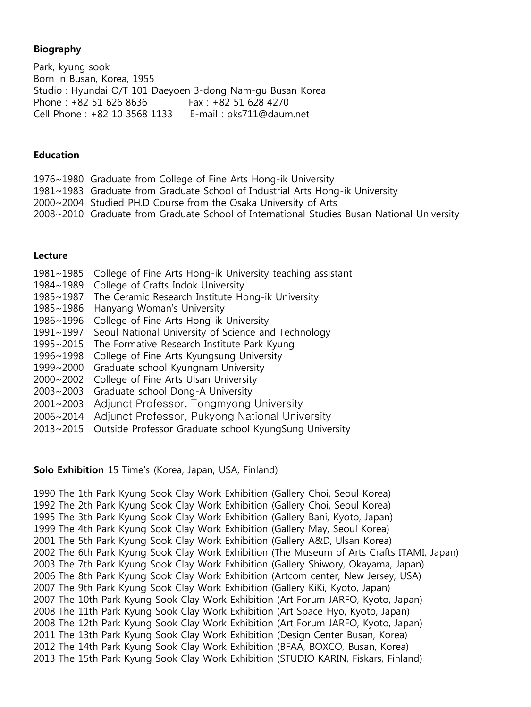### Biography

Park, kyung sook Born in Busan, Korea, 1955 Studio : Hyundai O/T 101 Daeyoen 3-dong Nam-gu Busan Korea Phone: +82 51 626 8636 Fax: +82 51 628 4270 Cell Phone : +82 10 3568 1133 E-mail : pks711@daum.net

#### **Education**

- 1976~1980 Graduate from College of Fine Arts Hong-ik University
- 1981~1983 Graduate from Graduate School of Industrial Arts Hong-ik University
- 2000~2004 Studied PH.D Course from the Osaka University of Arts
- 2008~2010 Graduate from Graduate School of International Studies Busan National University

#### Lecture

- 1981~1985 College of Fine Arts Hong-ik University teaching assistant
- 1984~1989 College of Crafts Indok University
- 1985~1987 The Ceramic Research Institute Hong-ik University
- 1985~1986 Hanyang Woman's University
- 1986~1996 College of Fine Arts Hong-ik University
- 1991~1997 Seoul National University of Science and Technology
- 1995~2015 The Formative Research Institute Park Kyung
- 1996~1998 College of Fine Arts Kyungsung University
- 1999~2000 Graduate school Kyungnam University
- 2000~2002 College of Fine Arts Ulsan University
- 2003~2003 Graduate school Dong-A University
- 2001~2003 Adjunct Professor, Tongmyong University
- 2006~2014 Adjunct Professor, Pukyong National University
- 2013~2015 Outside Professor Graduate school KyungSung University

#### Solo Exhibition 15 Time's (Korea, Japan, USA, Finland)

1990 The 1th Park Kyung Sook Clay Work Exhibition (Gallery Choi, Seoul Korea) 1992 The 2th Park Kyung Sook Clay Work Exhibition (Gallery Choi, Seoul Korea) 1995 The 3th Park Kyung Sook Clay Work Exhibition (Gallery Bani, Kyoto, Japan) 1999 The 4th Park Kyung Sook Clay Work Exhibition (Gallery May, Seoul Korea) 2001 The 5th Park Kyung Sook Clay Work Exhibition (Gallery A&D, Ulsan Korea) 2002 The 6th Park Kyung Sook Clay Work Exhibition (The Museum of Arts Crafts ITAMI, Japan) 2003 The 7th Park Kyung Sook Clay Work Exhibition (Gallery Shiwory, Okayama, Japan) 2006 The 8th Park Kyung Sook Clay Work Exhibition (Artcom center, New Jersey, USA) 2007 The 9th Park Kyung Sook Clay Work Exhibition (Gallery KiKi, Kyoto, Japan) 2007 The 10th Park Kyung Sook Clay Work Exhibition (Art Forum JARFO, Kyoto, Japan) 2008 The 11th Park Kyung Sook Clay Work Exhibition (Art Space Hyo, Kyoto, Japan) 2008 The 12th Park Kyung Sook Clay Work Exhibition (Art Forum JARFO, Kyoto, Japan) 2011 The 13th Park Kyung Sook Clay Work Exhibition (Design Center Busan, Korea) 2012 The 14th Park Kyung Sook Clay Work Exhibition (BFAA, BOXCO, Busan, Korea) 2013 The 15th Park Kyung Sook Clay Work Exhibition (STUDIO KARIN, Fiskars, Finland)